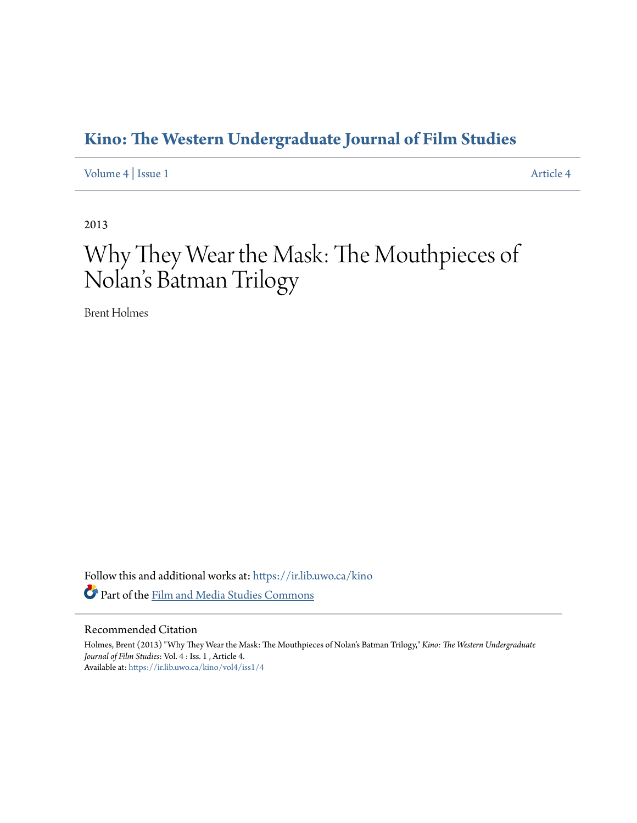### **[Kino: The Western Undergraduate Journal of Film Studies](https://ir.lib.uwo.ca/kino?utm_source=ir.lib.uwo.ca%2Fkino%2Fvol4%2Fiss1%2F4&utm_medium=PDF&utm_campaign=PDFCoverPages)**

[Volume 4](https://ir.lib.uwo.ca/kino/vol4?utm_source=ir.lib.uwo.ca%2Fkino%2Fvol4%2Fiss1%2F4&utm_medium=PDF&utm_campaign=PDFCoverPages) | [Issue 1](https://ir.lib.uwo.ca/kino/vol4/iss1?utm_source=ir.lib.uwo.ca%2Fkino%2Fvol4%2Fiss1%2F4&utm_medium=PDF&utm_campaign=PDFCoverPages) [Article 4](https://ir.lib.uwo.ca/kino/vol4/iss1/4?utm_source=ir.lib.uwo.ca%2Fkino%2Fvol4%2Fiss1%2F4&utm_medium=PDF&utm_campaign=PDFCoverPages)

2013

# Why They Wear the Mask: The Mouthpieces of Nolan 's Batman Trilogy

Brent Holmes

Follow this and additional works at: [https://ir.lib.uwo.ca/kino](https://ir.lib.uwo.ca/kino?utm_source=ir.lib.uwo.ca%2Fkino%2Fvol4%2Fiss1%2F4&utm_medium=PDF&utm_campaign=PDFCoverPages) Part of the [Film and Media Studies Commons](http://network.bepress.com/hgg/discipline/563?utm_source=ir.lib.uwo.ca%2Fkino%2Fvol4%2Fiss1%2F4&utm_medium=PDF&utm_campaign=PDFCoverPages)

#### Recommended Citation

Holmes, Brent (2013) "Why They Wear the Mask: The Mouthpieces of Nolan's Batman Trilogy," *Kino: The Western Undergraduate Journal of Film Studies*: Vol. 4 : Iss. 1 , Article 4. Available at: [https://ir.lib.uwo.ca/kino/vol4/iss1/4](https://ir.lib.uwo.ca/kino/vol4/iss1/4?utm_source=ir.lib.uwo.ca%2Fkino%2Fvol4%2Fiss1%2F4&utm_medium=PDF&utm_campaign=PDFCoverPages)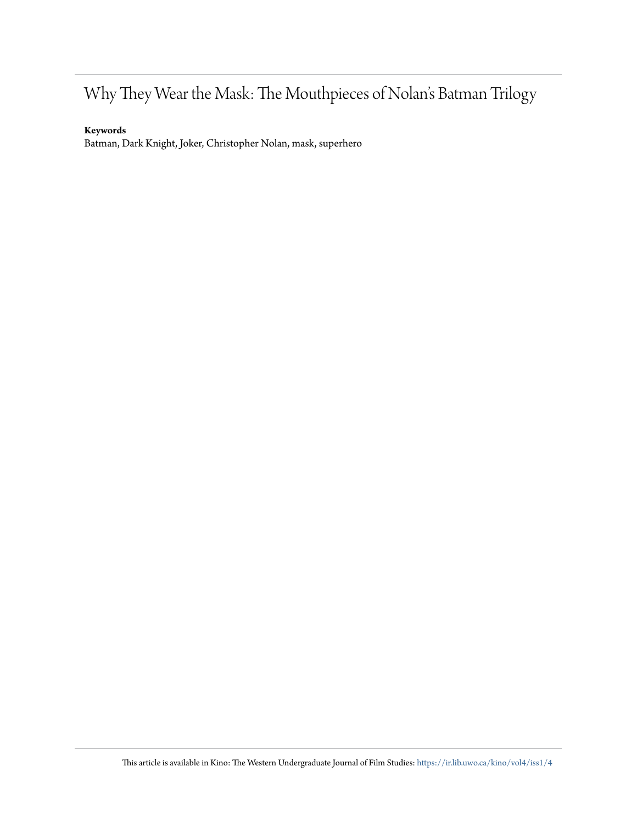## Why They Wear the Mask: The Mouthpieces of Nolan's Batman Trilogy

#### **Keywords**

Batman, Dark Knight, Joker, Christopher Nolan, mask, superhero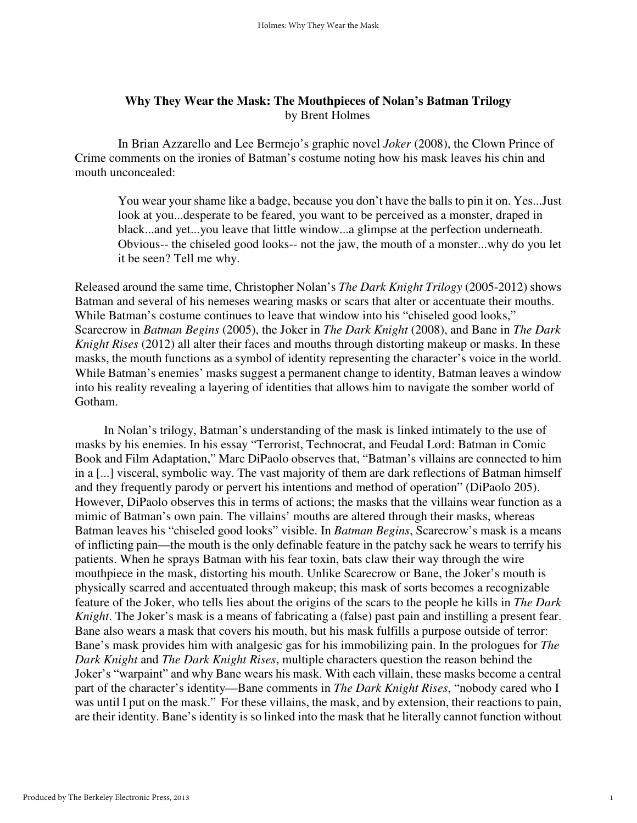#### **Why They Wear the Mask: The Mouthpieces of Nolan's Batman Trilogy**  by Brent Holmes

In Brian Azzarello and Lee Bermejo's graphic novel *Joker* (2008), the Clown Prince of Crime comments on the ironies of Batman's costume noting how his mask leaves his chin and mouth unconcealed:

You wear your shame like a badge, because you don't have the balls to pin it on. Yes...Just look at you...desperate to be feared, you want to be perceived as a monster, draped in black...and yet...you leave that little window...a glimpse at the perfection underneath. Obvious-- the chiseled good looks-- not the jaw, the mouth of a monster...why do you let it be seen? Tell me why.

Released around the same time, Christopher Nolan's *The Dark Knight Trilogy* (2005-2012) shows Batman and several of his nemeses wearing masks or scars that alter or accentuate their mouths. While Batman's costume continues to leave that window into his "chiseled good looks," Scarecrow in *Batman Begins* (2005), the Joker in *The Dark Knight* (2008), and Bane in *The Dark Knight Rises* (2012) all alter their faces and mouths through distorting makeup or masks. In these masks, the mouth functions as a symbol of identity representing the character's voice in the world. While Batman's enemies' masks suggest a permanent change to identity, Batman leaves a window into his reality revealing a layering of identities that allows him to navigate the somber world of Gotham.

 In Nolan's trilogy, Batman's understanding of the mask is linked intimately to the use of masks by his enemies. In his essay "Terrorist, Technocrat, and Feudal Lord: Batman in Comic Book and Film Adaptation," Marc DiPaolo observes that, "Batman's villains are connected to him in a [...] visceral, symbolic way. The vast majority of them are dark reflections of Batman himself and they frequently parody or pervert his intentions and method of operation" (DiPaolo 205). However, DiPaolo observes this in terms of actions; the masks that the villains wear function as a mimic of Batman's own pain. The villains' mouths are altered through their masks, whereas Batman leaves his "chiseled good looks" visible. In *Batman Begins*, Scarecrow's mask is a means of inflicting pain—the mouth is the only definable feature in the patchy sack he wears to terrify his patients. When he sprays Batman with his fear toxin, bats claw their way through the wire mouthpiece in the mask, distorting his mouth. Unlike Scarecrow or Bane, the Joker's mouth is physically scarred and accentuated through makeup; this mask of sorts becomes a recognizable feature of the Joker, who tells lies about the origins of the scars to the people he kills in *The Dark Knight*. The Joker's mask is a means of fabricating a (false) past pain and instilling a present fear. Bane also wears a mask that covers his mouth, but his mask fulfills a purpose outside of terror: Bane's mask provides him with analgesic gas for his immobilizing pain. In the prologues for *The Dark Knight* and *The Dark Knight Rises*, multiple characters question the reason behind the Joker's "warpaint" and why Bane wears his mask. With each villain, these masks become a central part of the character's identity—Bane comments in *The Dark Knight Rises*, "nobody cared who I was until I put on the mask." For these villains, the mask, and by extension, their reactions to pain, are their identity. Bane's identity is so linked into the mask that he literally cannot function without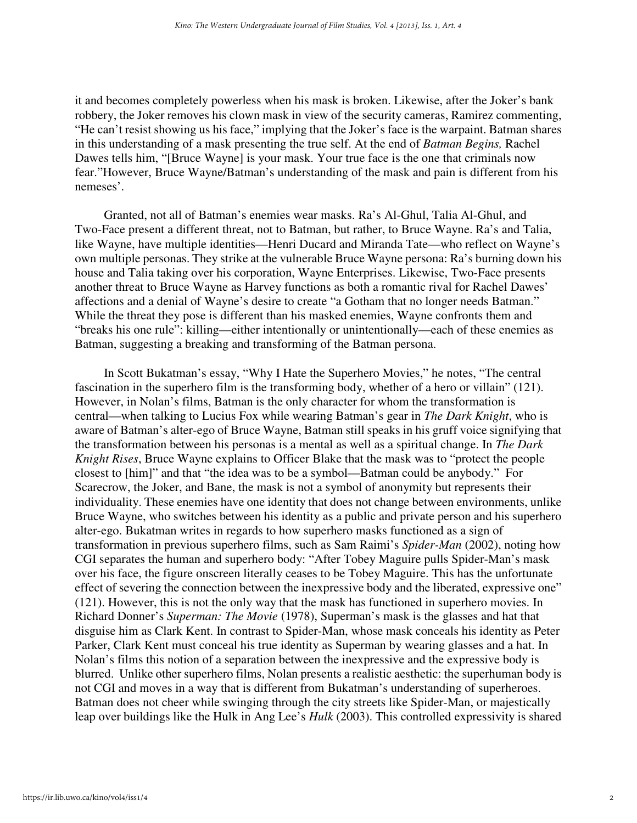it and becomes completely powerless when his mask is broken. Likewise, after the Joker's bank robbery, the Joker removes his clown mask in view of the security cameras, Ramirez commenting, "He can't resist showing us his face," implying that the Joker's face is the warpaint. Batman shares in this understanding of a mask presenting the true self. At the end of *Batman Begins,* Rachel Dawes tells him, "[Bruce Wayne] is your mask. Your true face is the one that criminals now fear."However, Bruce Wayne/Batman's understanding of the mask and pain is different from his nemeses'.

 Granted, not all of Batman's enemies wear masks. Ra's Al-Ghul, Talia Al-Ghul, and Two-Face present a different threat, not to Batman, but rather, to Bruce Wayne. Ra's and Talia, like Wayne, have multiple identities—Henri Ducard and Miranda Tate—who reflect on Wayne's own multiple personas. They strike at the vulnerable Bruce Wayne persona: Ra's burning down his house and Talia taking over his corporation, Wayne Enterprises. Likewise, Two-Face presents another threat to Bruce Wayne as Harvey functions as both a romantic rival for Rachel Dawes' affections and a denial of Wayne's desire to create "a Gotham that no longer needs Batman." While the threat they pose is different than his masked enemies, Wayne confronts them and "breaks his one rule": killing—either intentionally or unintentionally—each of these enemies as Batman, suggesting a breaking and transforming of the Batman persona.

 In Scott Bukatman's essay, "Why I Hate the Superhero Movies," he notes, "The central fascination in the superhero film is the transforming body, whether of a hero or villain" (121). However, in Nolan's films, Batman is the only character for whom the transformation is central—when talking to Lucius Fox while wearing Batman's gear in *The Dark Knight*, who is aware of Batman's alter-ego of Bruce Wayne, Batman still speaks in his gruff voice signifying that the transformation between his personas is a mental as well as a spiritual change. In *The Dark Knight Rises*, Bruce Wayne explains to Officer Blake that the mask was to "protect the people closest to [him]" and that "the idea was to be a symbol—Batman could be anybody." For Scarecrow, the Joker, and Bane, the mask is not a symbol of anonymity but represents their individuality. These enemies have one identity that does not change between environments, unlike Bruce Wayne, who switches between his identity as a public and private person and his superhero alter-ego. Bukatman writes in regards to how superhero masks functioned as a sign of transformation in previous superhero films, such as Sam Raimi's *Spider-Man* (2002), noting how CGI separates the human and superhero body: "After Tobey Maguire pulls Spider-Man's mask over his face, the figure onscreen literally ceases to be Tobey Maguire. This has the unfortunate effect of severing the connection between the inexpressive body and the liberated, expressive one" (121). However, this is not the only way that the mask has functioned in superhero movies. In Richard Donner's *Superman: The Movie* (1978), Superman's mask is the glasses and hat that disguise him as Clark Kent. In contrast to Spider-Man, whose mask conceals his identity as Peter Parker, Clark Kent must conceal his true identity as Superman by wearing glasses and a hat. In Nolan's films this notion of a separation between the inexpressive and the expressive body is blurred. Unlike other superhero films, Nolan presents a realistic aesthetic: the superhuman body is not CGI and moves in a way that is different from Bukatman's understanding of superheroes. Batman does not cheer while swinging through the city streets like Spider-Man, or majestically leap over buildings like the Hulk in Ang Lee's *Hulk* (2003). This controlled expressivity is shared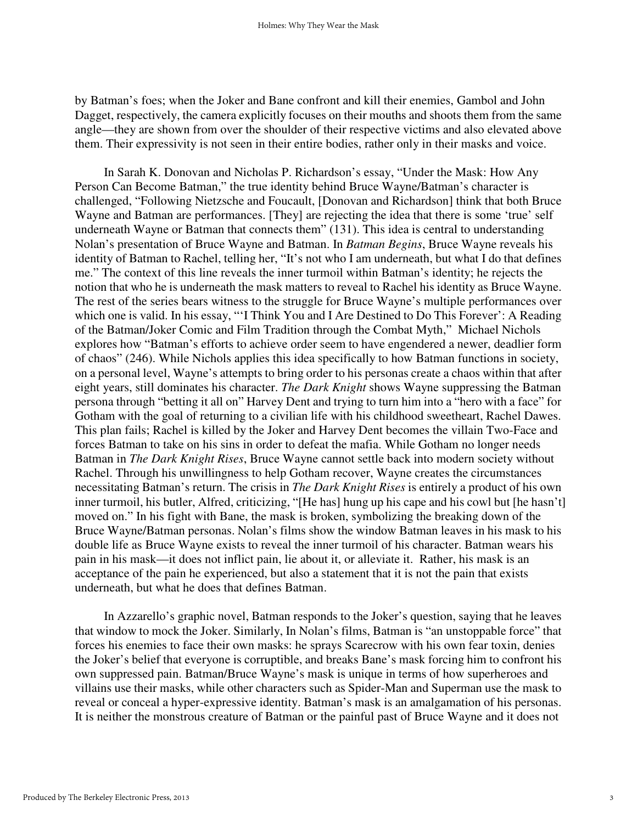by Batman's foes; when the Joker and Bane confront and kill their enemies, Gambol and John Dagget, respectively, the camera explicitly focuses on their mouths and shoots them from the same angle—they are shown from over the shoulder of their respective victims and also elevated above them. Their expressivity is not seen in their entire bodies, rather only in their masks and voice.

 In Sarah K. Donovan and Nicholas P. Richardson's essay, "Under the Mask: How Any Person Can Become Batman," the true identity behind Bruce Wayne/Batman's character is challenged, "Following Nietzsche and Foucault, [Donovan and Richardson] think that both Bruce Wayne and Batman are performances. [They] are rejecting the idea that there is some 'true' self underneath Wayne or Batman that connects them" (131). This idea is central to understanding Nolan's presentation of Bruce Wayne and Batman. In *Batman Begins*, Bruce Wayne reveals his identity of Batman to Rachel, telling her, "It's not who I am underneath, but what I do that defines me." The context of this line reveals the inner turmoil within Batman's identity; he rejects the notion that who he is underneath the mask matters to reveal to Rachel his identity as Bruce Wayne. The rest of the series bears witness to the struggle for Bruce Wayne's multiple performances over which one is valid. In his essay, "'I Think You and I Are Destined to Do This Forever': A Reading of the Batman/Joker Comic and Film Tradition through the Combat Myth," Michael Nichols explores how "Batman's efforts to achieve order seem to have engendered a newer, deadlier form of chaos" (246). While Nichols applies this idea specifically to how Batman functions in society, on a personal level, Wayne's attempts to bring order to his personas create a chaos within that after eight years, still dominates his character. *The Dark Knight* shows Wayne suppressing the Batman persona through "betting it all on" Harvey Dent and trying to turn him into a "hero with a face" for Gotham with the goal of returning to a civilian life with his childhood sweetheart, Rachel Dawes. This plan fails; Rachel is killed by the Joker and Harvey Dent becomes the villain Two-Face and forces Batman to take on his sins in order to defeat the mafia. While Gotham no longer needs Batman in *The Dark Knight Rises*, Bruce Wayne cannot settle back into modern society without Rachel. Through his unwillingness to help Gotham recover, Wayne creates the circumstances necessitating Batman's return. The crisis in *The Dark Knight Rises* is entirely a product of his own inner turmoil, his butler, Alfred, criticizing, "[He has] hung up his cape and his cowl but [he hasn't] moved on." In his fight with Bane, the mask is broken, symbolizing the breaking down of the Bruce Wayne/Batman personas. Nolan's films show the window Batman leaves in his mask to his double life as Bruce Wayne exists to reveal the inner turmoil of his character. Batman wears his pain in his mask—it does not inflict pain, lie about it, or alleviate it. Rather, his mask is an acceptance of the pain he experienced, but also a statement that it is not the pain that exists underneath, but what he does that defines Batman.

 In Azzarello's graphic novel, Batman responds to the Joker's question, saying that he leaves that window to mock the Joker. Similarly, In Nolan's films, Batman is "an unstoppable force" that forces his enemies to face their own masks: he sprays Scarecrow with his own fear toxin, denies the Joker's belief that everyone is corruptible, and breaks Bane's mask forcing him to confront his own suppressed pain. Batman/Bruce Wayne's mask is unique in terms of how superheroes and villains use their masks, while other characters such as Spider-Man and Superman use the mask to reveal or conceal a hyper-expressive identity. Batman's mask is an amalgamation of his personas. It is neither the monstrous creature of Batman or the painful past of Bruce Wayne and it does not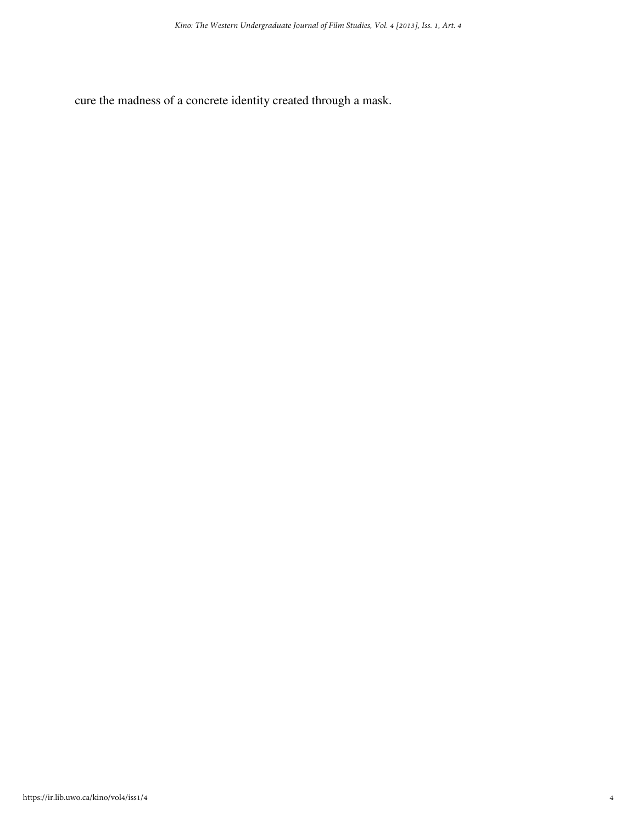cure the madness of a concrete identity created through a mask.